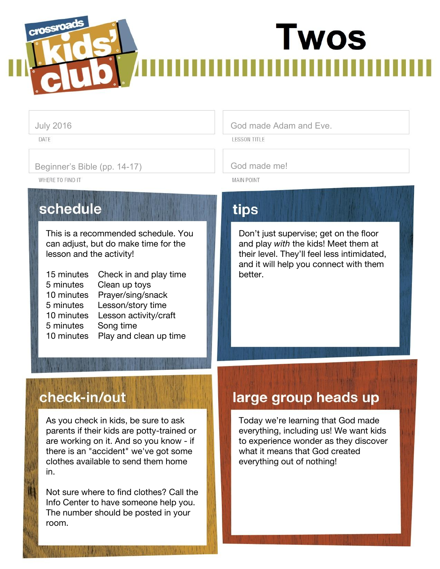# crossroa **Twos**

DATE

#### Beginner's Bible (pp. 14-17) God made me!

WHERE TO FIND IT

## schedule

This is a recommended schedule. You can adjust, but do make time for the lesson and the activity!

| 15 minutes | Check in and play time |
|------------|------------------------|
| 5 minutes  | Clean up toys          |
| 10 minutes | Prayer/sing/snack      |
| 5 minutes  | Lesson/story time      |
| 10 minutes | Lesson activity/craft  |
| 5 minutes  | Song time              |
| 10 minutes | Play and clean up time |
|            |                        |

### July 2016 **God made Adam and Eve.**

**LESSON TITLE** 

**MAIN POINT** 

## tips

Don't just supervise; get on the floor and play *with* the kids! Meet them at their level. They'll feel less intimidated, and it will help you connect with them better.

## check-in/out

As you check in kids, be sure to ask parents if their kids are potty-trained or are working on it. And so you know - if there is an "accident" we've got some clothes available to send them home in.

Not sure where to find clothes? Call the Info Center to have someone help you. The number should be posted in your room.

## large group heads up

Today we're learning that God made everything, including us! We want kids to experience wonder as they discover what it means that God created everything out of nothing!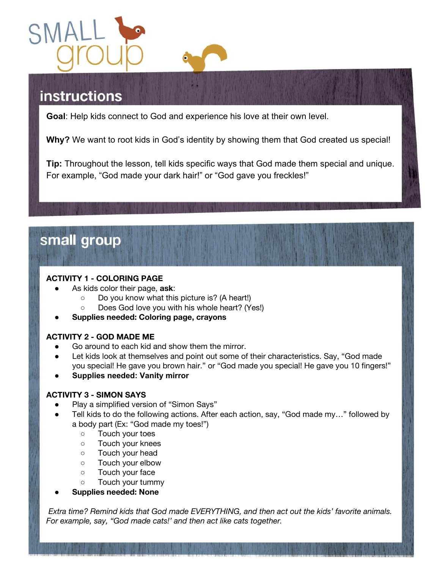

## **instructions**

**Goal**: Help kids connect to God and experience his love at their own level.

**Why?** We want to root kids in God's identity by showing them that God created us special!

**Tip:** Throughout the lesson, tell kids specific ways that God made them special and unique. For example, "God made your dark hair!" or "God gave you freckles!"

## small group

#### **ACTIVITY 1 - COLORING PAGE**

- As kids color their page, ask:
	- Do you know what this picture is? (A heart!)
	- Does God love you with his whole heart? (Yes!)
- **● Supplies needed: Coloring page, crayons**

#### **ACTIVITY 2 - GOD MADE ME**

- Go around to each kid and show them the mirror.
- Let kids look at themselves and point out some of their characteristics. Say, "God made you special! He gave you brown hair." or "God made you special! He gave you 10 fingers!"
- **● Supplies needed: Vanity mirror**

#### **ACTIVITY 3 - SIMON SAYS**

- Play a simplified version of "Simon Says"
- Tell kids to do the following actions. After each action, say, "God made my..." followed by a body part (Ex: "God made my toes!")
	- Touch your toes
	- Touch your knees
	- Touch your head
	- Touch your elbow
	- Touch your face
	- Touch your tummy
- **● Supplies needed: None**

*Extra time? Remind kids that God made EVERYTHING, and then act out the kids' favorite animals. For example, say, "God made cats!' and then act like cats together.*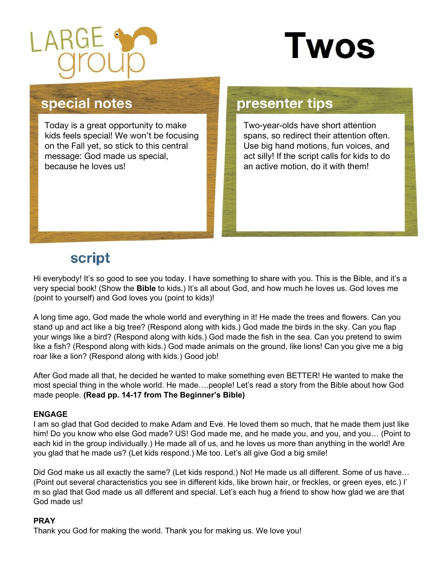

# **Twos**

## special notes

Today is a great opportunity to make kids feels special! We won't be focusing on the Fall yet, so stick to this central message: God made us special, because he loves us!

## presenter tips

Two-year-olds have short attention spans, so redirect their attention often. Use big hand motions, fun voices, and act silly! If the script calls for kids to do an active motion, do it with them!

## script

Hi everybody! It's so good to see you today. I have something to share with you. This is the Bible, and it's a very special book! (Show the **Bible** to kids.) It's all about God, and how much he loves us. God loves me (point to yourself) and God loves you (point to kids)!

A long time ago, God made the whole world and everything in it! He made the trees and flowers. Can you stand up and act like a big tree? (Respond along with kids.) God made the birds in the sky. Can you flap your wings like a bird? (Respond along with kids.) God made the fish in the sea. Can you pretend to swim like a fish? (Respond along with kids.) God made animals on the ground, like lions! Can you give me a big roar like a lion? (Respond along with kids.) Good job!

After God made all that, he decided he wanted to make something even BETTER! He wanted to make the most special thing in the whole world. He made….people! Let's read a story from the Bible about how God made people. **(Read pp. 14-17 from The Beginner's Bible)**

### **ENGAGE**

I am so glad that God decided to make Adam and Eve. He loved them so much, that he made them just like him! Do you know who else God made? US! God made me, and he made you, and you, and you… (Point to each kid in the group individually.) He made all of us, and he loves us more than anything in the world! Are you glad that he made us? (Let kids respond.) Me too. Let's all give God a big smile!

Did God make us all exactly the same? (Let kids respond.) No! He made us all different. Some of us have… (Point out several characteristics you see in different kids, like brown hair, or freckles, or green eyes, etc.) I' m so glad that God made us all different and special. Let's each hug a friend to show how glad we are that God made us!

### **PRAY**

Thank you God for making the world. Thank you for making us. We love you!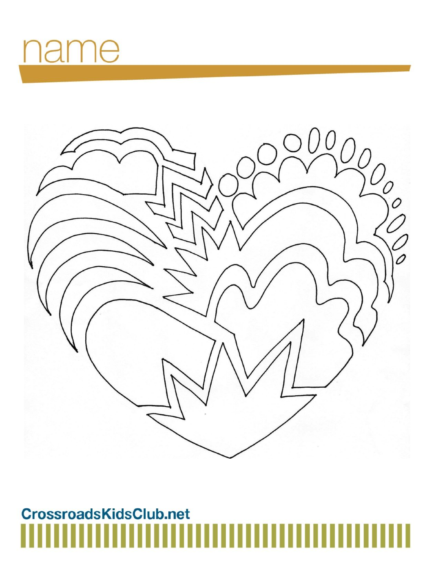## ame L



## CrossroadsKidsClub.net Ш